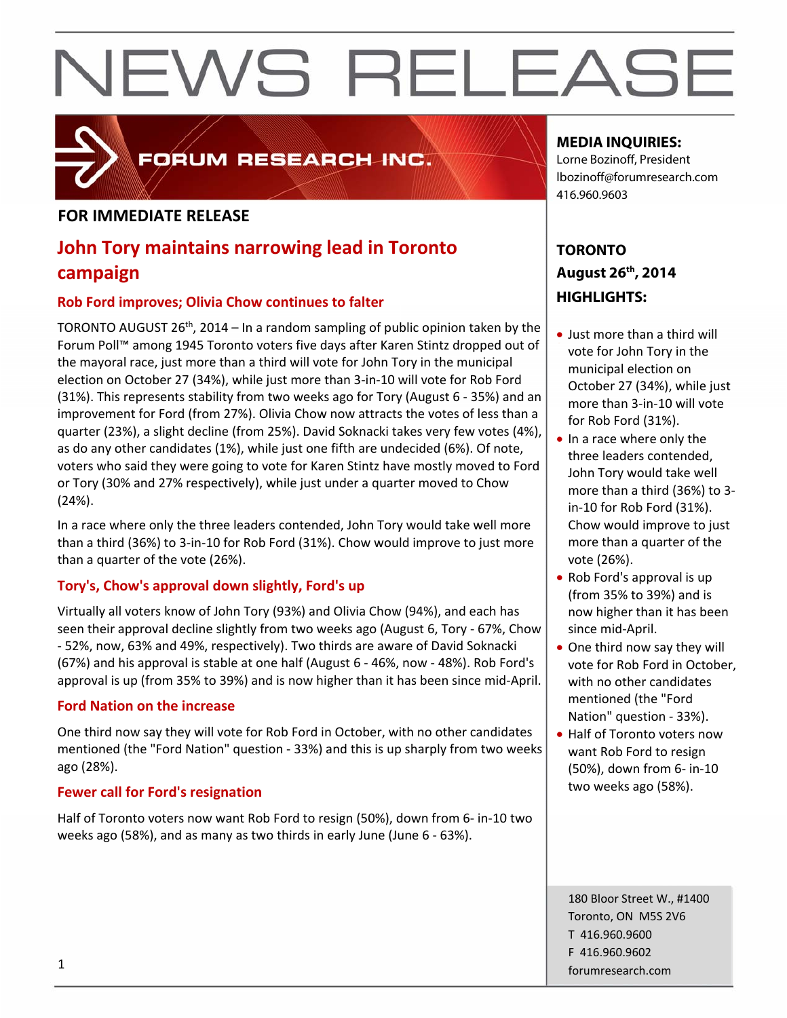### **FOR IMMEDIATE RELEASE**

### **John Tory maintains narrowing lead in Toronto campaign**

FORUM RESEARCH INC.

#### **Rob Ford improves; Olivia Chow continues to falter**

TORONTO AUGUST 26<sup>th</sup>, 2014 – In a random sampling of public opinion taken by the Forum Poll™ among 1945 Toronto voters five days after Karen Stintz dropped out of the mayoral race, just more than a third will vote for John Tory in the municipal election on October 27 (34%), while just more than 3‐in‐10 will vote for Rob Ford (31%). This represents stability from two weeks ago for Tory (August 6 ‐ 35%) and an improvement for Ford (from 27%). Olivia Chow now attracts the votes of less than a quarter (23%), a slight decline (from 25%). David Soknacki takes very few votes (4%), as do any other candidates (1%), while just one fifth are undecided (6%). Of note, voters who said they were going to vote for Karen Stintz have mostly moved to Ford or Tory (30% and 27% respectively), while just under a quarter moved to Chow (24%).

In a race where only the three leaders contended, John Tory would take well more than a third (36%) to 3‐in‐10 for Rob Ford (31%). Chow would improve to just more than a quarter of the vote (26%).

#### **Tory's, Chow's approval down slightly, Ford's up**

Virtually all voters know of John Tory (93%) and Olivia Chow (94%), and each has seen their approval decline slightly from two weeks ago (August 6, Tory ‐ 67%, Chow ‐ 52%, now, 63% and 49%, respectively). Two thirds are aware of David Soknacki (67%) and his approval is stable at one half (August 6 ‐ 46%, now ‐ 48%). Rob Ford's approval is up (from 35% to 39%) and is now higher than it has been since mid‐April.

#### **Ford Nation on the increase**

One third now say they will vote for Rob Ford in October, with no other candidates mentioned (the "Ford Nation" question ‐ 33%) and this is up sharply from two weeks ago (28%).

#### **Fewer call for Ford's resignation**

Half of Toronto voters now want Rob Ford to resign (50%), down from 6‐ in‐10 two weeks ago (58%), and as many as two thirds in early June (June 6 ‐ 63%).

#### **MEDIA INQUIRIES:**

Lorne Bozinoff, President lbozinoff@forumresearch.com 416.960.9603

### **TORONTO August 26th, 2014 HIGHLIGHTS:**

- Just more than a third will vote for John Tory in the municipal election on October 27 (34%), while just more than 3‐in‐10 will vote for Rob Ford (31%).
- In a race where only the three leaders contended, John Tory would take well more than a third (36%) to 3‐ in‐10 for Rob Ford (31%). Chow would improve to just more than a quarter of the vote (26%).
- Rob Ford's approval is up (from 35% to 39%) and is now higher than it has been since mid‐April.
- One third now say they will vote for Rob Ford in October, with no other candidates mentioned (the "Ford Nation" question ‐ 33%).
- Half of Toronto voters now want Rob Ford to resign (50%), down from 6‐ in‐10 two weeks ago (58%).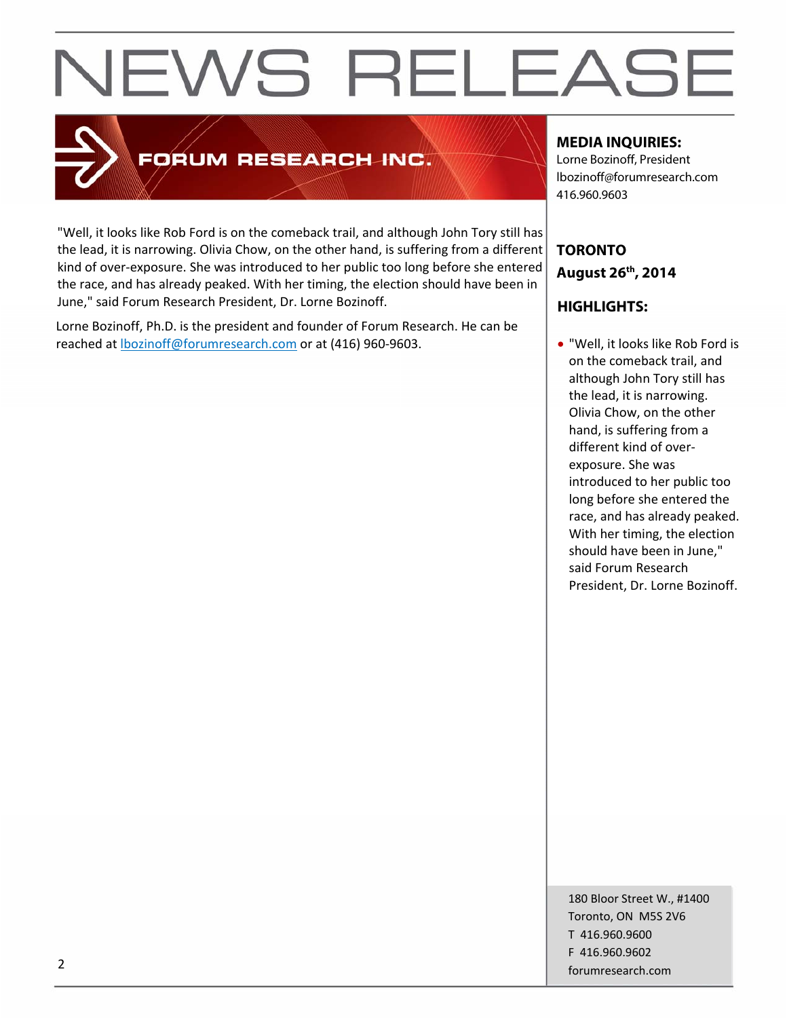### **FORUM RESEARCH INC.**

"Well, it looks like Rob Ford is on the comeback trail, and although John Tory still has the lead, it is narrowing. Olivia Chow, on the other hand, is suffering from a different kind of over‐exposure. She was introduced to her public too long before she entered the race, and has already peaked. With her timing, the election should have been in June," said Forum Research President, Dr. Lorne Bozinoff.

Lorne Bozinoff, Ph.D. is the president and founder of Forum Research. He can be reached at lbozinoff@forumresearch.com or at (416) 960‐9603.

#### **MEDIA INQUIRIES:**

Lorne Bozinoff, President lbozinoff@forumresearch.com 416.960.9603

### **TORONTO August 26th, 2014**

#### **HIGHLIGHTS:**

 "Well, it looks like Rob Ford is on the comeback trail, and although John Tory still has the lead, it is narrowing. Olivia Chow, on the other hand, is suffering from a different kind of over‐ exposure. She was introduced to her public too long before she entered the race, and has already peaked. With her timing, the election should have been in June," said Forum Research President, Dr. Lorne Bozinoff.

180 Bloor Street W., #1400 Toronto, ON M5S 2V6 T 416.960.9600 F 416.960.9602 example to the contract of the contract of the contract of the contract of the contract of the contract of the contract of the contract of the contract of the contract of the contract of the contract of the contract of the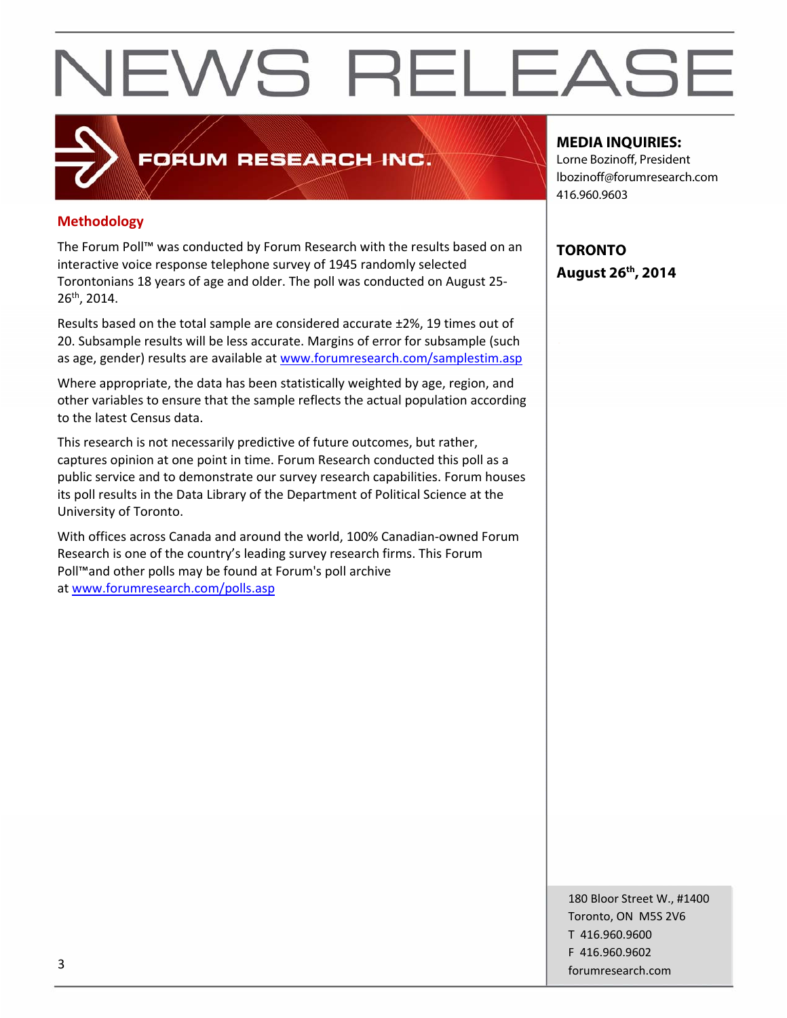#### **Methodology**

The Forum Poll™ was conducted by Forum Research with the results based on an interactive voice response telephone survey of 1945 randomly selected Torontonians 18 years of age and older. The poll was conducted on August 25‐ 26th, 2014.

**FORUM RESEARCH INC.** 

Results based on the total sample are considered accurate ±2%, 19 times out of 20. Subsample results will be less accurate. Margins of error for subsample (such as age, gender) results are available at www.forumresearch.com/samplestim.asp

Where appropriate, the data has been statistically weighted by age, region, and other variables to ensure that the sample reflects the actual population according to the latest Census data.

This research is not necessarily predictive of future outcomes, but rather, captures opinion at one point in time. Forum Research conducted this poll as a public service and to demonstrate our survey research capabilities. Forum houses its poll results in the Data Library of the Department of Political Science at the University of Toronto.

With offices across Canada and around the world, 100% Canadian‐owned Forum Research is one of the country's leading survey research firms. This Forum Poll™and other polls may be found at Forum's poll archive at www.forumresearch.com/polls.asp

#### **MEDIA INQUIRIES:**

Lorne Bozinoff, President lbozinoff@forumresearch.com 416.960.9603

**TORONTO August 26th, 2014** 

180 Bloor Street W., #1400 Toronto, ON M5S 2V6 T 416.960.9600 F 416.960.9602 forumresearch.com and the set of the set of the set of the set of the set of the set of the set of the set of the set of the set of the set of the set of the set of the set of the set of the set of the set of the set of th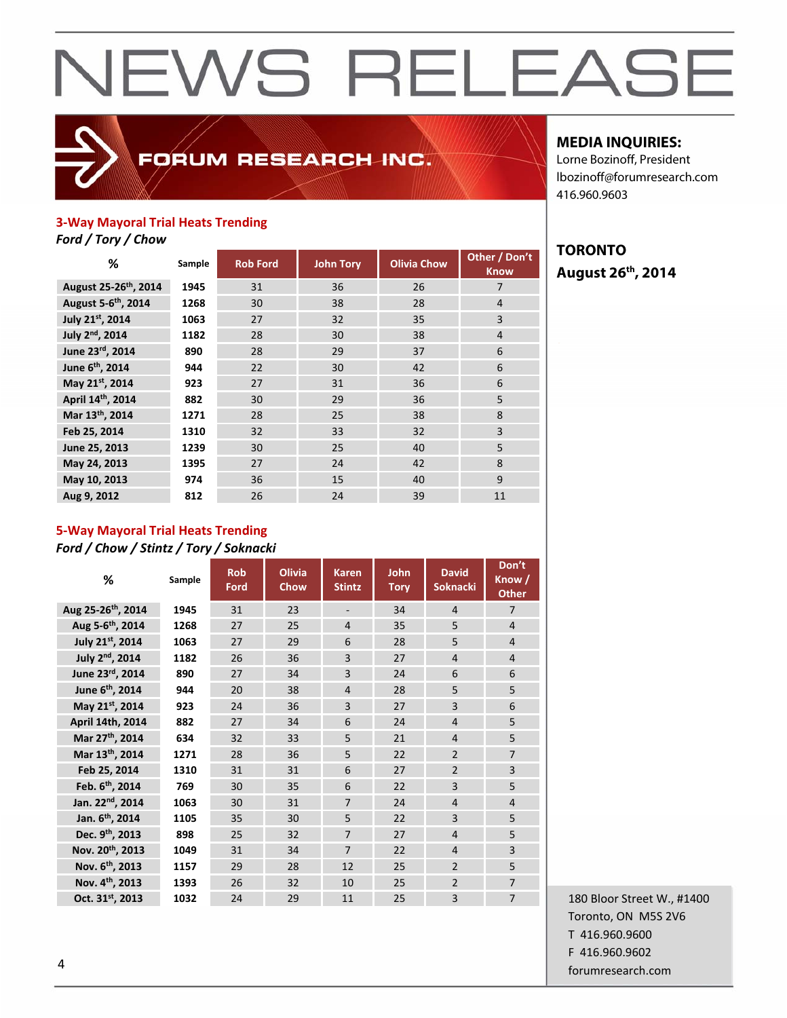### FORUM RESEARCH INC.

#### **MEDIA INQUIRIES:**

**August 26th, 2014** 

**TORONTO** 

Lorne Bozinoff, President lbozinoff@forumresearch.com 416.960.9603

#### **3‐Way Mayoral Trial Heats Trending**

*Ford / Tory / Chow*

| %                                 | Sample | <b>Rob Ford</b> | <b>John Tory</b> | <b>Olivia Chow</b> | Other / Don't<br><b>Know</b> |
|-----------------------------------|--------|-----------------|------------------|--------------------|------------------------------|
| August 25-26 <sup>th</sup> , 2014 | 1945   | 31              | 36               | 26                 | 7                            |
| August 5-6 <sup>th</sup> , 2014   | 1268   | 30              | 38               | 28                 | $\overline{4}$               |
| July 21st, 2014                   | 1063   | 27              | 32               | 35                 | $\overline{3}$               |
| July 2 <sup>nd</sup> , 2014       | 1182   | 28              | 30               | 38                 | $\overline{4}$               |
| June 23rd, 2014                   | 890    | 28              | 29               | 37                 | 6                            |
| June 6 <sup>th</sup> , 2014       | 944    | 22              | 30               | 42                 | 6                            |
| May 21st, 2014                    | 923    | 27              | 31               | 36                 | 6                            |
| April 14th, 2014                  | 882    | 30              | 29               | 36                 | 5                            |
| Mar 13th, 2014                    | 1271   | 28              | 25               | 38                 | 8                            |
| Feb 25, 2014                      | 1310   | 32              | 33               | 32                 | 3                            |
| June 25, 2013                     | 1239   | 30              | 25               | 40                 | 5                            |
| May 24, 2013                      | 1395   | 27              | 24               | 42                 | 8                            |
| May 10, 2013                      | 974    | 36              | 15               | 40                 | 9                            |
| Aug 9, 2012                       | 812    | 26              | 24               | 39                 | 11                           |

### **5‐Way Mayoral Trial Heats Trending**

*Ford / Chow / Stintz / Tory / Soknacki*

| %                              | Sample | <b>Rob</b><br>Ford | <b>Olivia</b><br>Chow | <b>Karen</b><br><b>Stintz</b> | John<br><b>Tory</b> | <b>David</b><br><b>Soknacki</b> | Don't<br>Know /<br><b>Other</b> |
|--------------------------------|--------|--------------------|-----------------------|-------------------------------|---------------------|---------------------------------|---------------------------------|
| Aug 25-26 <sup>th</sup> , 2014 | 1945   | 31                 | 23                    | $\qquad \qquad \blacksquare$  | 34                  | $\overline{4}$                  | $\overline{7}$                  |
| Aug 5- $6^{th}$ , 2014         | 1268   | 27                 | 25                    | $\overline{4}$                | 35                  | 5                               | $\overline{4}$                  |
| July 21st, 2014                | 1063   | 27                 | 29                    | 6                             | 28                  | 5                               | $\overline{4}$                  |
| July 2 <sup>nd</sup> , 2014    | 1182   | 26                 | 36                    | 3                             | 27                  | $\overline{4}$                  | $\overline{4}$                  |
| June 23rd, 2014                | 890    | 27                 | 34                    | 3                             | 24                  | 6                               | 6                               |
| June 6 <sup>th</sup> , 2014    | 944    | 20                 | 38                    | $\overline{4}$                | 28                  | 5                               | 5                               |
| May 21st, 2014                 | 923    | 24                 | 36                    | 3                             | 27                  | 3                               | 6                               |
| April 14th, 2014               | 882    | 27                 | 34                    | 6                             | 24                  | $\overline{4}$                  | 5                               |
| Mar 27 <sup>th</sup> , 2014    | 634    | 32                 | 33                    | 5                             | 21                  | $\overline{4}$                  | 5                               |
| Mar 13th, 2014                 | 1271   | 28                 | 36                    | 5                             | 22                  | $\overline{2}$                  | $\overline{7}$                  |
| Feb 25, 2014                   | 1310   | 31                 | 31                    | 6                             | 27                  | $\overline{2}$                  | 3                               |
| Feb. 6 <sup>th</sup> , 2014    | 769    | 30                 | 35                    | $6\overline{6}$               | 22                  | 3                               | 5                               |
| Jan. 22 <sup>nd</sup> , 2014   | 1063   | 30                 | 31                    | $\overline{7}$                | 24                  | $\overline{4}$                  | $\overline{4}$                  |
| Jan. 6 <sup>th</sup> , 2014    | 1105   | 35                 | 30                    | 5                             | 22                  | $\overline{3}$                  | 5                               |
| Dec. 9 <sup>th</sup> , 2013    | 898    | 25                 | 32                    | $\overline{7}$                | 27                  | $\overline{a}$                  | 5                               |
| Nov. 20th, 2013                | 1049   | 31                 | 34                    | $\overline{7}$                | 22                  | $\overline{4}$                  | 3                               |
| Nov. 6 <sup>th</sup> , 2013    | 1157   | 29                 | 28                    | 12                            | 25                  | $\overline{2}$                  | 5                               |
| Nov. 4th, 2013                 | 1393   | 26                 | 32                    | 10                            | 25                  | $\overline{2}$                  | $\overline{7}$                  |
| Oct. 31 <sup>st</sup> , 2013   | 1032   | 24                 | 29                    | 11                            | 25                  | 3                               | $\overline{7}$                  |

180 Bloor Street W., #1400 Toronto, ON M5S 2V6 T 416.960.9600 F 416.960.9602 example to the contract of the contract of the contract of the contract of the contract of the contract of the contract of the contract of the contract of the contract of the contract of the contract of the contract of the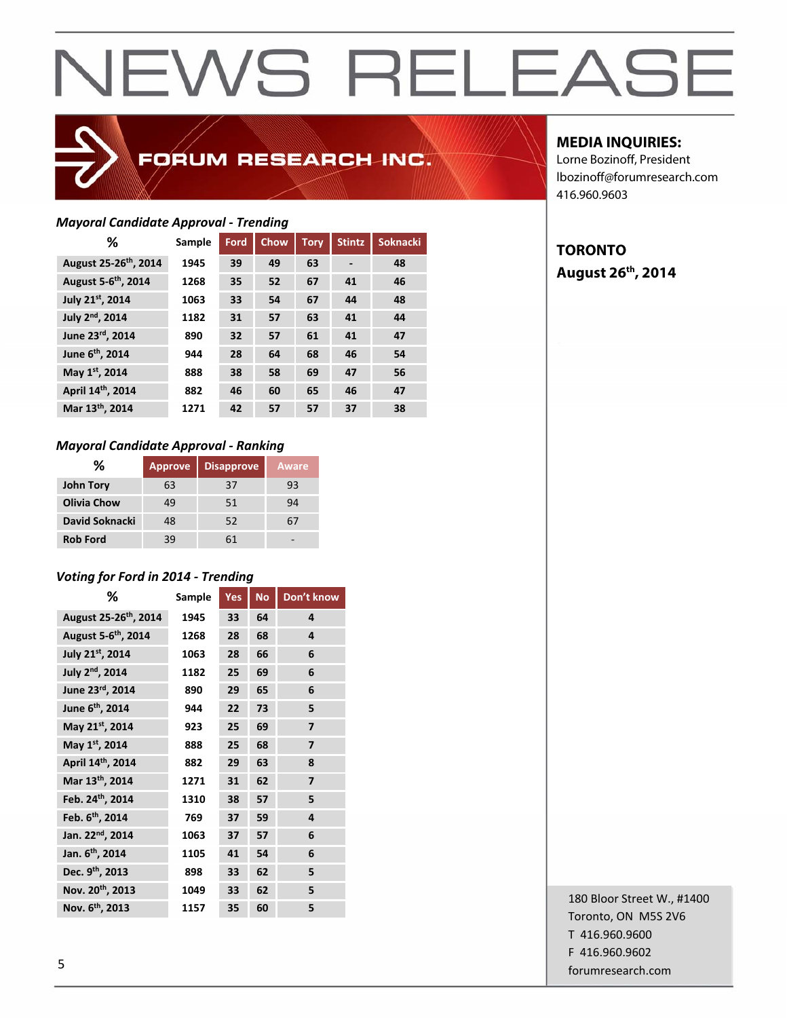### FORUM RESEARCH INC.

#### *Mayoral Candidate Approval ‐ Trending*

| %                                 | Sample | Ford | <b>Chow</b> | <b>Tory</b> | <b>Stintz</b>                | <b>Soknacki</b> |
|-----------------------------------|--------|------|-------------|-------------|------------------------------|-----------------|
| August 25-26 <sup>th</sup> , 2014 | 1945   | 39   | 49          | 63          | $\qquad \qquad \blacksquare$ | 48              |
| August 5-6 <sup>th</sup> , 2014   | 1268   | 35   | 52          | 67          | 41                           | 46              |
| July 21st, 2014                   | 1063   | 33   | 54          | 67          | 44                           | 48              |
| July 2 <sup>nd</sup> , 2014       | 1182   | 31   | 57          | 63          | 41                           | 44              |
| June 23rd, 2014                   | 890    | 32   | 57          | 61          | 41                           | 47              |
| June 6 <sup>th</sup> , 2014       | 944    | 28   | 64          | 68          | 46                           | 54              |
| May 1st, 2014                     | 888    | 38   | 58          | 69          | 47                           | 56              |
| April 14th, 2014                  | 882    | 46   | 60          | 65          | 46                           | 47              |
| Mar 13 <sup>th</sup> , 2014       | 1271   | 42   | 57          | 57          | 37                           | 38              |

#### *Mayoral Candidate Approval ‐ Ranking*

| ℅                  | <b>Approve</b> | <b>Disapprove</b> | Aware |
|--------------------|----------------|-------------------|-------|
| <b>John Tory</b>   | 63             | 37                | 93    |
| <b>Olivia Chow</b> | 49             | 51                | 94    |
| David Soknacki     | 48             | 52                |       |
| <b>Rob Ford</b>    | 39             | 61                |       |

#### *Voting for Ford in 2014 ‐ Trending*

| ℅                                 | Sample | Yes | <b>No</b> | Don't know     |
|-----------------------------------|--------|-----|-----------|----------------|
| August 25-26 <sup>th</sup> , 2014 | 1945   | 33  | 64        | 4              |
| August 5-6 <sup>th</sup> , 2014   | 1268   | 28  | 68        | 4              |
| July 21st, 2014                   | 1063   | 28  | 66        | 6              |
| July 2 <sup>nd</sup> , 2014       | 1182   | 25  | 69        | 6              |
| June 23rd, 2014                   | 890    | 29  | 65        | 6              |
| June 6 <sup>th</sup> , 2014       | 944    | 22  | 73        | 5              |
| May 21st, 2014                    | 923    | 25  | 69        | $\overline{7}$ |
| May 1st, 2014                     | 888    | 25  | 68        | $\overline{7}$ |
| April 14th, 2014                  | 882    | 29  | 63        | 8              |
| Mar 13th, 2014                    | 1271   | 31  | 62        | 7              |
| Feb. 24 <sup>th</sup> , 2014      | 1310   | 38  | 57        | 5              |
| Feb. 6 <sup>th</sup> , 2014       | 769    | 37  | 59        | 4              |
| Jan. 22 <sup>nd</sup> , 2014      | 1063   | 37  | 57        | 6              |
| Jan. 6 <sup>th</sup> , 2014       | 1105   | 41  | 54        | 6              |
| Dec. 9 <sup>th</sup> , 2013       | 898    | 33  | 62        | 5              |
| Nov. 20th, 2013                   | 1049   | 33  | 62        | 5              |
| Nov. 6 <sup>th</sup> , 2013       | 1157   | 35  | 60        | 5              |

#### **MEDIA INQUIRIES:**

Lorne Bozinoff, President lbozinoff@forumresearch.com 416.960.9603

#### **TORONTO August 26th, 2014**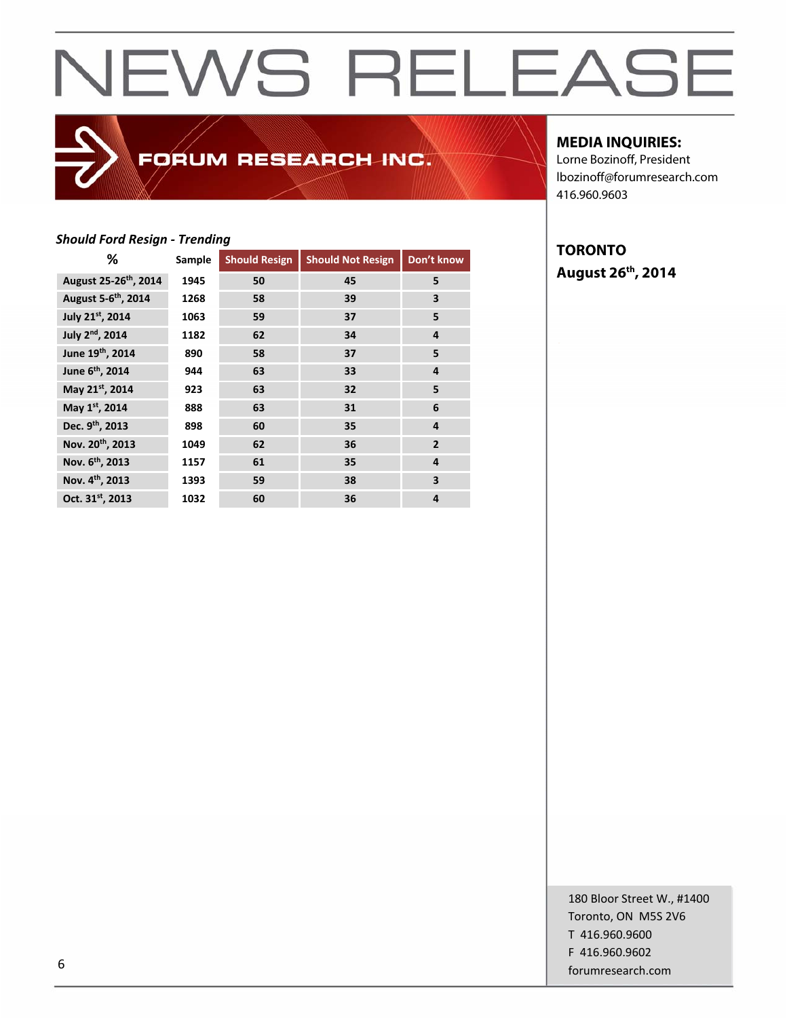### FORUM RESEARCH INC.

#### **MEDIA INQUIRIES:**

Lorne Bozinoff, President lbozinoff@forumresearch.com 416.960.9603

#### *Should Ford Resign ‐ Trending*

| ℅                                 | Sample | <b>Should Resign</b> | <b>Should Not Resign</b> | Don't know              |
|-----------------------------------|--------|----------------------|--------------------------|-------------------------|
| August 25-26 <sup>th</sup> , 2014 | 1945   | 50                   | 45                       | 5                       |
| August 5-6 <sup>th</sup> , 2014   | 1268   | 58                   | 39                       | 3                       |
| July 21st, 2014                   | 1063   | 59                   | 37                       | 5                       |
| July 2 <sup>nd</sup> , 2014       | 1182   | 62                   | 34                       | 4                       |
| June 19th, 2014                   | 890    | 58                   | 37                       | 5                       |
| June 6 <sup>th</sup> , 2014       | 944    | 63                   | 33                       | 4                       |
| May 21st, 2014                    | 923    | 63                   | 32                       | 5                       |
| May 1st, 2014                     | 888    | 63                   | 31                       | 6                       |
| Dec. 9th, 2013                    | 898    | 60                   | 35                       | 4                       |
| Nov. 20 <sup>th</sup> , 2013      | 1049   | 62                   | 36                       | $\overline{2}$          |
| Nov. 6 <sup>th</sup> , 2013       | 1157   | 61                   | 35                       | 4                       |
| Nov. 4 <sup>th</sup> , 2013       | 1393   | 59                   | 38                       | $\overline{\mathbf{3}}$ |
| Oct. 31st, 2013                   | 1032   | 60                   | 36                       | 4                       |

**TORONTO August 26th, 2014**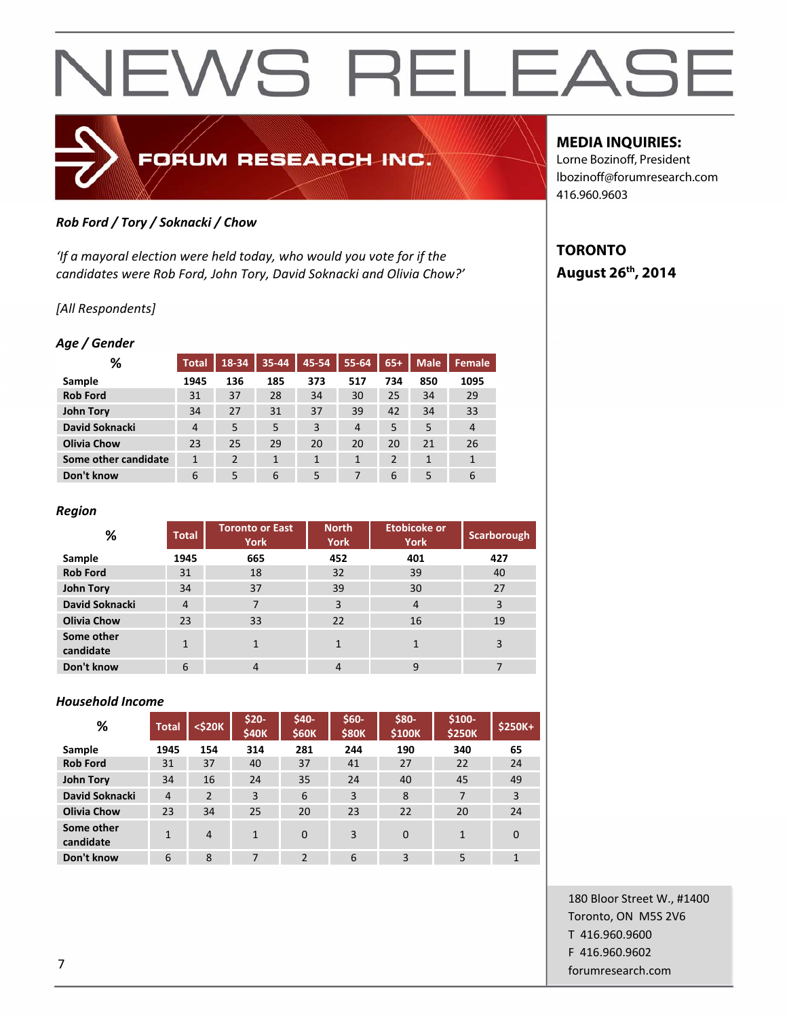

#### *Rob Ford / Tory / Soknacki / Chow*

*'If a mayoral election were held today, who would you vote for if the candidates were Rob Ford, John Tory, David Soknacki and Olivia Chow?'*

#### *[All Respondents]*

#### *Age / Gender*

| %                    | <b>Total</b>   | 18-34          | $35 - 44$ | 45-54 | 55-64          | $65+$          | <b>Male</b> | Female         |
|----------------------|----------------|----------------|-----------|-------|----------------|----------------|-------------|----------------|
| Sample               | 1945           | 136            | 185       | 373   | 517            | 734            | 850         | 1095           |
| <b>Rob Ford</b>      | 31             | 37             | 28        | 34    | 30             | 25             | 34          | 29             |
| <b>John Tory</b>     | 34             | 27             | 31        | 37    | 39             | 42             | 34          | 33             |
| David Soknacki       | $\overline{4}$ | 5              | 5         | 3     | $\overline{4}$ | 5              | 5           | $\overline{4}$ |
| <b>Olivia Chow</b>   | 23             | 25             | 29        | 20    | 20             | 20             | 21          | 26             |
| Some other candidate | $\mathbf{1}$   | $\overline{2}$ | 1         | 1     | 1              | $\overline{2}$ |             | $\mathbf{1}$   |
| Don't know           | 6              | 5              | 6         | 5     |                | 6              | 5           | 6              |

#### *Region*

| ℅                       | <b>Total</b> | <b>Toronto or East</b><br><b>York</b> | <b>North</b><br><b>York</b> | <b>Etobicoke or</b><br><b>York</b> | Scarborough |
|-------------------------|--------------|---------------------------------------|-----------------------------|------------------------------------|-------------|
| Sample                  | 1945         | 665                                   | 452                         | 401                                | 427         |
| <b>Rob Ford</b>         | 31           | 18                                    | 32                          | 39                                 | 40          |
| <b>John Tory</b>        | 34           | 37                                    | 39                          | 30                                 | 27          |
| David Soknacki          | 4            | 7                                     | 3                           | $\overline{4}$                     | 3           |
| <b>Olivia Chow</b>      | 23           | 33                                    | 22                          | 16                                 | 19          |
| Some other<br>candidate |              | $\mathbf{1}$                          |                             |                                    | 3           |
| Don't know              | 6            | $\overline{4}$                        | 4                           | 9                                  |             |

#### *Household Income*

| %                       | <b>Total</b>   | <\$20K         | $$20-$<br>\$40K | \$40-<br><b>\$60K</b> | \$60-<br><b>\$80K</b> | \$80-<br>\$100K | \$100-<br><b>\$250K</b> | \$250K+  |
|-------------------------|----------------|----------------|-----------------|-----------------------|-----------------------|-----------------|-------------------------|----------|
| Sample                  | 1945           | 154            | 314             | 281                   | 244                   | 190             | 340                     | 65       |
| <b>Rob Ford</b>         | 31             | 37             | 40              | 37                    | 41                    | 27              | 22                      | 24       |
| <b>John Tory</b>        | 34             | 16             | 24              | 35                    | 24                    | 40              | 45                      | 49       |
| David Soknacki          | $\overline{4}$ | $\overline{2}$ | 3               | 6                     | 3                     | 8               | 7                       | 3        |
| <b>Olivia Chow</b>      | 23             | 34             | 25              | 20                    | 23                    | 22              | 20                      | 24       |
| Some other<br>candidate | 1              | 4              | $\mathbf{1}$    | $\Omega$              | 3                     | $\Omega$        | $\mathbf{1}$            | $\Omega$ |
| Don't know              | 6              | 8              | 7               | $\overline{2}$        | 6                     | 3               | 5                       | 1        |

#### **MEDIA INQUIRIES:**

Lorne Bozinoff, President lbozinoff@forumresearch.com 416.960.9603

### **TORONTO August 26th, 2014**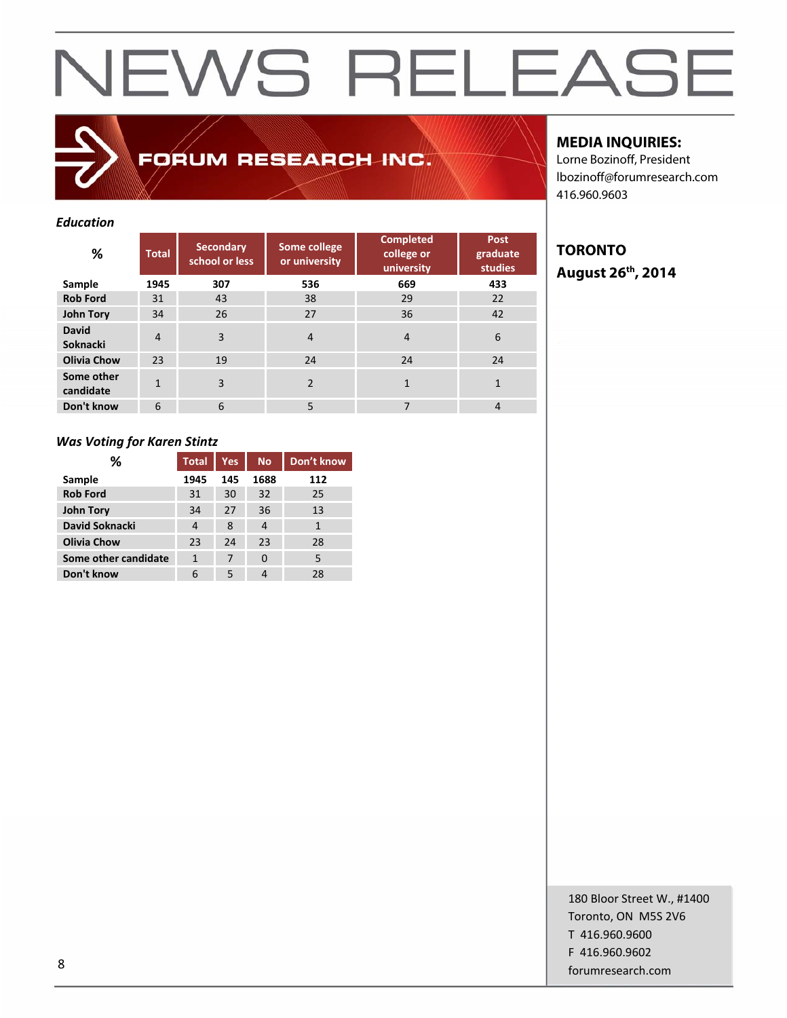FORUM RESEARCH INC.

#### *Education*

| %                        | <b>Total</b>   | <b>Secondary</b><br>school or less | Some college<br>or university | <b>Completed</b><br>college or<br>university | <b>Post</b><br>graduate<br><b>studies</b> |
|--------------------------|----------------|------------------------------------|-------------------------------|----------------------------------------------|-------------------------------------------|
| Sample                   | 1945           | 307                                | 536                           | 669                                          | 433                                       |
| <b>Rob Ford</b>          | 31             | 43                                 | 38                            | 29                                           | 22                                        |
| John Tory                | 34             | 26                                 | 27                            | 36                                           | 42                                        |
| <b>David</b><br>Soknacki | $\overline{4}$ | 3                                  | $\overline{4}$                | $\overline{4}$                               | 6                                         |
| <b>Olivia Chow</b>       | 23             | 19                                 | 24                            | 24                                           | 24                                        |
| Some other<br>candidate  |                | 3                                  | $\mathcal{P}$                 | $\mathbf{1}$                                 |                                           |
| Don't know               | 6              | 6                                  | 5                             | 7                                            | $\overline{4}$                            |

#### *Was Voting for Karen Stintz*

| %                    | <b>Total</b> | <b>Yes</b> | <b>No</b> | Don't know |
|----------------------|--------------|------------|-----------|------------|
| Sample               | 1945         | 145        | 1688      | 112        |
| <b>Rob Ford</b>      | 31           | 30         | 32        | 25         |
| <b>John Tory</b>     | 34           | 27         | 36        | 13         |
| David Soknacki       | 4            | 8          | 4         | 1          |
| <b>Olivia Chow</b>   | 23           | 24         | 23        | 28         |
| Some other candidate | 1            | 7          | 0         | 5          |
| Don't know           | 6            | 5          |           | 28         |

#### **MEDIA INQUIRIES:**

Lorne Bozinoff, President lbozinoff@forumresearch.com 416.960.9603

### **TORONTO August 26th, 2014**

180 Bloor Street W., #1400 Toronto, ON M5S 2V6 T 416.960.9600 F 416.960.9602 example and the state of the state of the state of the state of the state of the state of the state of the state of the state of the state of the state of the state of the state of the state of the state of the state of th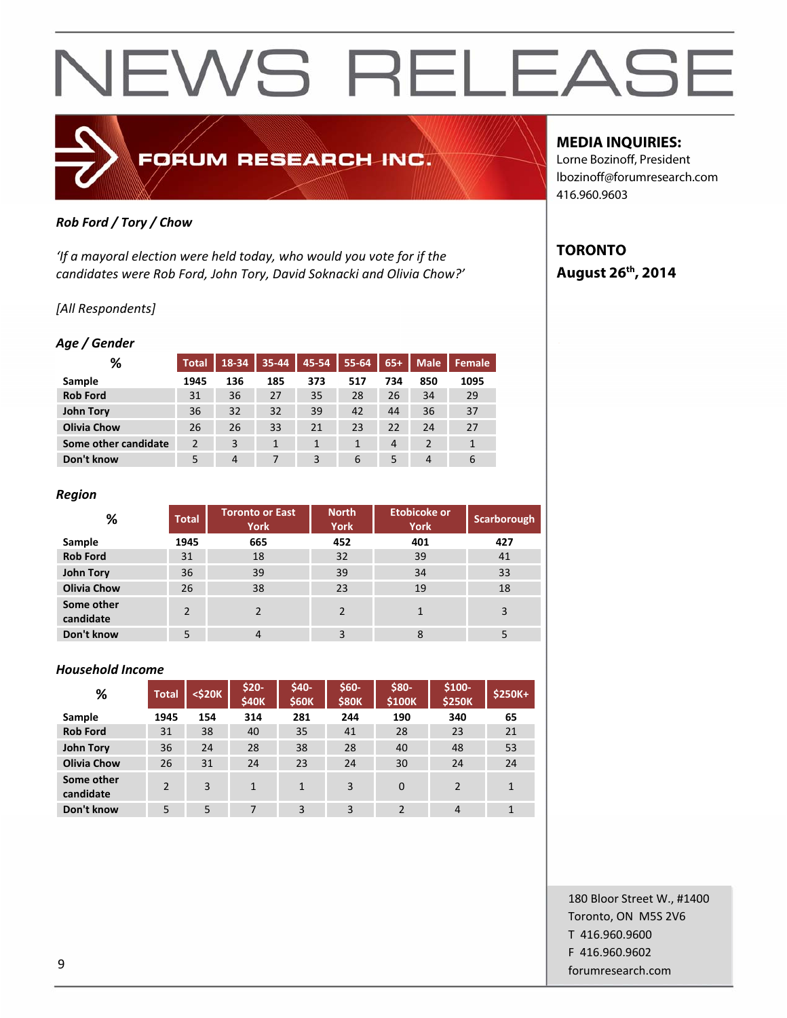### FORUM RESEARCH INC.

#### *Rob Ford / Tory / Chow*

*'If a mayoral election were held today, who would you vote for if the candidates were Rob Ford, John Tory, David Soknacki and Olivia Chow?'*

#### *[All Respondents]*

#### *Age / Gender*

| %                    | <b>Total</b> | 18-34          | 35-44 | 45-54 | 55-64 | $65+$          | <b>Male</b> | Female |
|----------------------|--------------|----------------|-------|-------|-------|----------------|-------------|--------|
| Sample               | 1945         | 136            | 185   | 373   | 517   | 734            | 850         | 1095   |
| <b>Rob Ford</b>      | 31           | 36             | 27    | 35    | 28    | 26             | 34          | 29     |
| <b>John Tory</b>     | 36           | 32             | 32    | 39    | 42    | 44             | 36          | 37     |
| <b>Olivia Chow</b>   | 26           | 26             | 33    | 21    | 23    | 22             | 24          | 27     |
| Some other candidate | 2            | 3              |       | 1     |       | $\overline{4}$ |             |        |
| Don't know           |              | $\overline{4}$ |       | 3     | 6     | 5              | 4           | 6      |

#### *Region*

| %                       | <b>Total</b>  | <b>Toronto or East</b><br><b>York</b> | <b>North</b><br><b>York</b> | <b>Etobicoke or</b><br><b>York</b> | <b>Scarborough</b> |
|-------------------------|---------------|---------------------------------------|-----------------------------|------------------------------------|--------------------|
| Sample                  | 1945          | 665                                   | 452                         | 401                                | 427                |
| <b>Rob Ford</b>         | 31            | 18                                    | 32                          | 39                                 | 41                 |
| <b>John Tory</b>        | 36            | 39                                    | 39                          | 34                                 | 33                 |
| <b>Olivia Chow</b>      | 26            | 38                                    | 23                          | 19                                 | 18                 |
| Some other<br>candidate | $\mathcal{P}$ |                                       | $\mathcal{P}$               |                                    | 3                  |
| Don't know              | 5             | 4                                     | 3                           | 8                                  |                    |

#### *Household Income*

| %                       | <b>Total</b>  | $<$ \$20 $K$ | \$20-<br><b>\$40K</b> | \$40-<br><b>\$60K</b> | \$60-<br><b>\$80K</b> | \$80-<br>\$100K | $$100-$<br><b>\$250K</b> | $$250K+$     |
|-------------------------|---------------|--------------|-----------------------|-----------------------|-----------------------|-----------------|--------------------------|--------------|
| Sample                  | 1945          | 154          | 314                   | 281                   | 244                   | 190             | 340                      | 65           |
| <b>Rob Ford</b>         | 31            | 38           | 40                    | 35                    | 41                    | 28              | 23                       | 21           |
| John Tory               | 36            | 24           | 28                    | 38                    | 28                    | 40              | 48                       | 53           |
| <b>Olivia Chow</b>      | 26            | 31           | 24                    | 23                    | 24                    | 30              | 24                       | 24           |
| Some other<br>candidate | $\mathcal{P}$ | 3            | 1                     | $\mathbf{1}$          | 3                     | $\Omega$        | $\mathfrak{p}$           | $\mathbf{1}$ |
| Don't know              | 5             | 5            | 7                     | 3                     | 3                     | $\overline{2}$  | $\overline{4}$           | $\mathbf{1}$ |

#### **MEDIA INQUIRIES:**

Lorne Bozinoff, President lbozinoff@forumresearch.com 416.960.9603

### **TORONTO August 26th, 2014**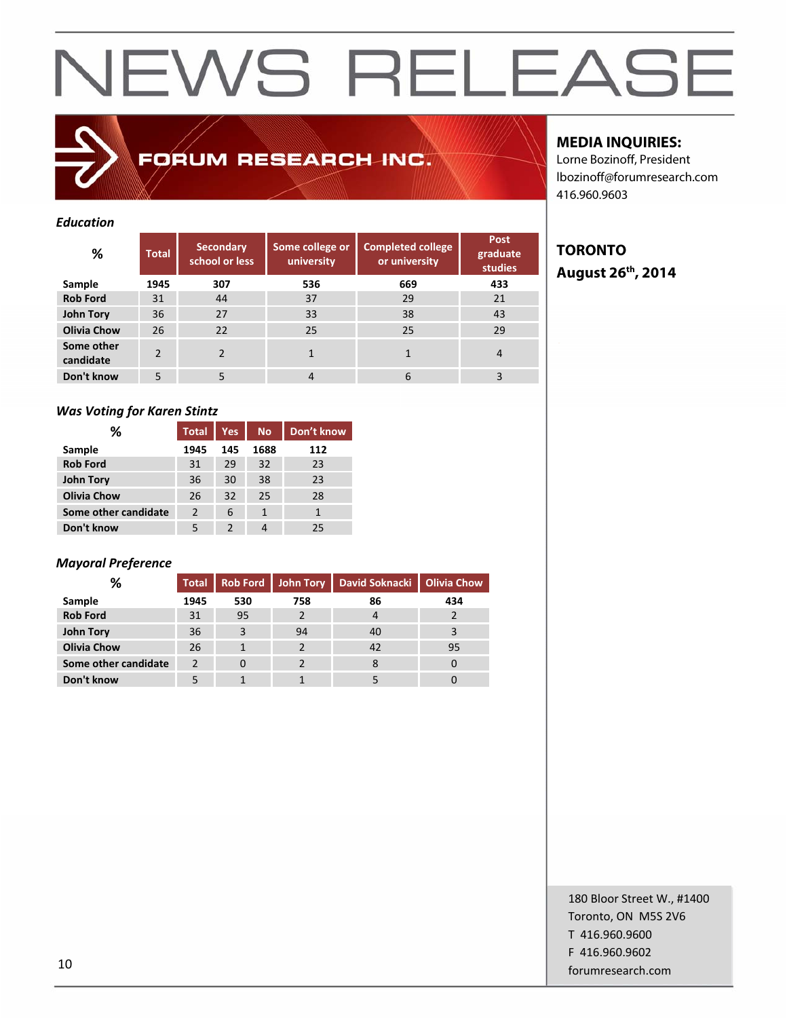FORUM RESEARCH INC.

#### *Education*

| %                       | <b>Total</b>   | <b>Secondary</b><br>school or less | Some college or<br>university | <b>Completed college</b><br>or university | Post<br>graduate<br><b>studies</b> |
|-------------------------|----------------|------------------------------------|-------------------------------|-------------------------------------------|------------------------------------|
| Sample                  | 1945           | 307                                | 536                           | 669                                       | 433                                |
| <b>Rob Ford</b>         | 31             | 44                                 | 37                            | 29                                        | 21                                 |
| John Tory               | 36             | 27                                 | 33                            | 38                                        | 43                                 |
| <b>Olivia Chow</b>      | 26             | 22                                 | 25                            | 25                                        | 29                                 |
| Some other<br>candidate | $\mathfrak{p}$ |                                    |                               |                                           | 4                                  |
| Don't know              | 5              | 5                                  | 4                             | 6                                         |                                    |

#### *Was Voting for Karen Stintz*

| ℅                    | <b>Total</b>  | <b>Yes</b> | <b>No</b> | Don't know |
|----------------------|---------------|------------|-----------|------------|
| Sample               | 1945          | 145        | 1688      | 112        |
| <b>Rob Ford</b>      | 31            | 29         | 32        | 23         |
| <b>John Tory</b>     | 36            | 30         | 38        | 23         |
| <b>Olivia Chow</b>   | 26            | 32         | 25        | 28         |
| Some other candidate | $\mathcal{P}$ | 6          | 1         |            |
| Don't know           | 5             | 2          |           | 25         |

#### *Mayoral Preference*

| %                    | <b>Total</b> |          |     | Rob Ford   John Tory   David Soknacki   Olivia Chow |     |
|----------------------|--------------|----------|-----|-----------------------------------------------------|-----|
| Sample               | 1945         | 530      | 758 | 86                                                  | 434 |
| <b>Rob Ford</b>      | 31           | 95       |     | 4                                                   |     |
| <b>John Tory</b>     | 36           | 3        | 94  | 40                                                  | 3   |
| <b>Olivia Chow</b>   | 26           |          |     | 42                                                  | 95  |
| Some other candidate | っ            | $\Omega$ |     |                                                     |     |
| Don't know           |              |          |     |                                                     |     |

#### **MEDIA INQUIRIES:**

Lorne Bozinoff, President lbozinoff@forumresearch.com 416.960.9603

### **TORONTO August 26th, 2014**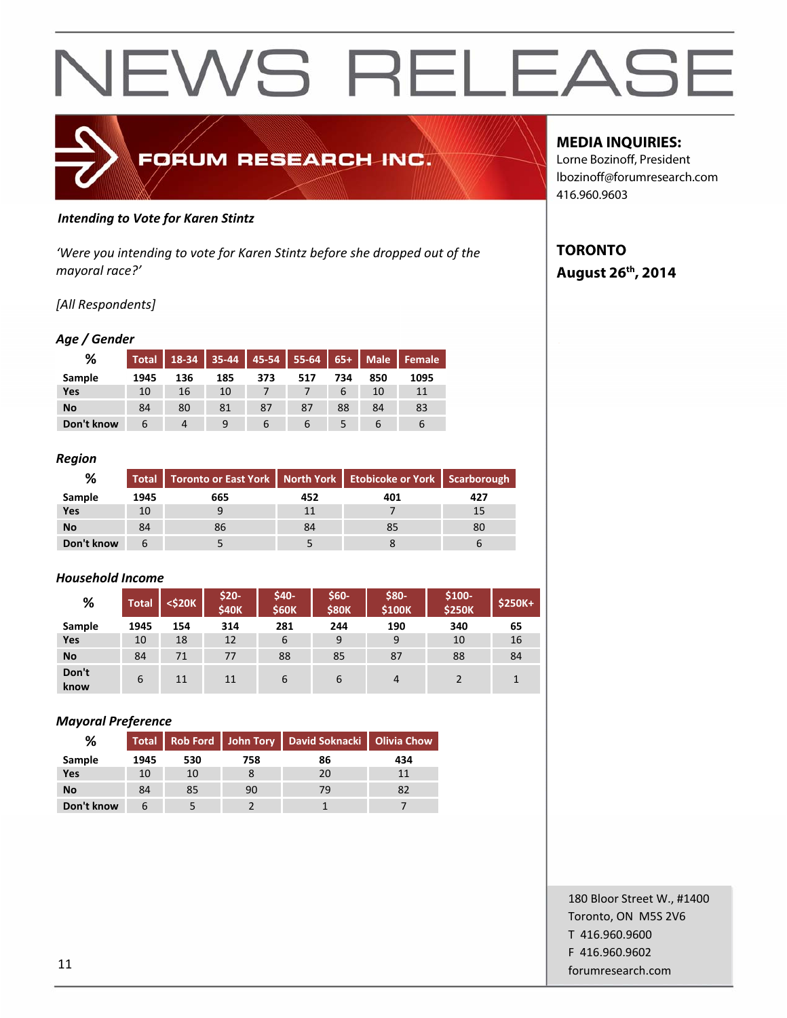

#### *Intending to Vote for Karen Stintz*

*'Were you intending to vote for Karen Stintz before she dropped out of the mayoral race?'*

#### *[All Respondents]*

#### *Age / Gender*

| %          | <b>Total</b> | 18-34 | 35-44 | $45 - 54$ | $55-64$ | $65+$ | <b>Male</b> | Female |
|------------|--------------|-------|-------|-----------|---------|-------|-------------|--------|
| Sample     | 1945         | 136   | 185   | 373       | 517     | 734   | 850         | 1095   |
| Yes        | 10           | 16    | 10    |           |         |       | 10          | 11     |
| No         | 84           | 80    | 81    | 87        | 87      | 88    | 84          | 83     |
| Don't know | b            | 4     |       |           |         |       |             | b      |

#### *Region*

| %          |      | Total   Toronto or East York   North York   Etobicoke or York   Scarborough |     |     |     |
|------------|------|-----------------------------------------------------------------------------|-----|-----|-----|
| Sample     | 1945 | 665                                                                         | 452 | 401 | 427 |
| Yes        | 10   |                                                                             |     |     | 15  |
| No         | 84   | 86                                                                          | 84  | 85  | 80  |
| Don't know |      |                                                                             |     |     |     |

#### *Household Income*

| %             | <b>Total</b> | <\$20K | $$20-$<br><b>\$40K</b> | \$40-<br><b>\$60K</b> | \$60-<br><b>\$80K</b> | \$80-<br>\$100K | $$100-$<br><b>\$250K</b> | \$250K+ |
|---------------|--------------|--------|------------------------|-----------------------|-----------------------|-----------------|--------------------------|---------|
| Sample        | 1945         | 154    | 314                    | 281                   | 244                   | 190             | 340                      | 65      |
| Yes           | 10           | 18     | 12                     | 6                     | 9                     | 9               | 10                       | 16      |
| <b>No</b>     | 84           | 71     | 77                     | 88                    | 85                    | 87              | 88                       | 84      |
| Don't<br>know | 6            | 11     | 11                     | 6                     | 6                     | 4               |                          |         |

#### *Mayoral Preference*

| %          |      |     |     | Total   Rob Ford   John Tory   David Soknacki   Olivia Chow |     |
|------------|------|-----|-----|-------------------------------------------------------------|-----|
| Sample     | 1945 | 530 | 758 | 86                                                          | 434 |
| <b>Yes</b> | 10   | 10  |     | 20                                                          |     |
| No         | 84   | 85  | 90  | 79                                                          | 82  |
| Don't know |      |     |     |                                                             |     |

#### **MEDIA INQUIRIES:**

Lorne Bozinoff, President lbozinoff@forumresearch.com 416.960.9603

#### **TORONTO August 26th, 2014**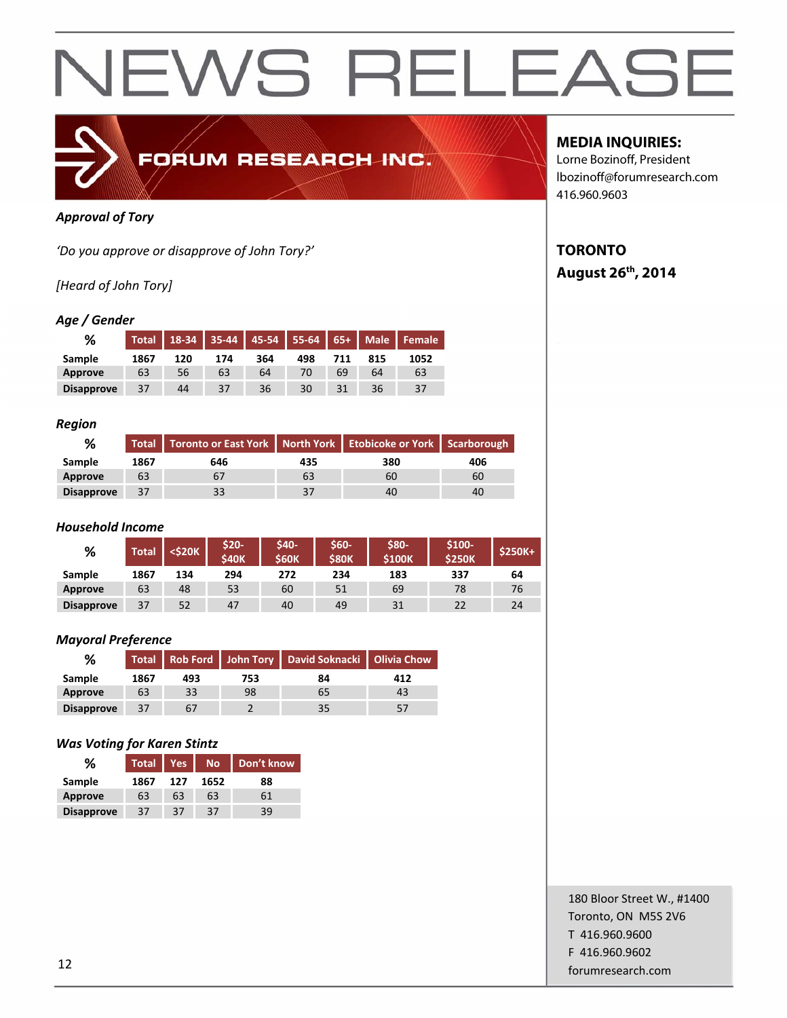

#### *Approval of Tory*

*'Do you approve or disapprove of John Tory?'*

#### *[Heard of John Tory]*

#### *Age / Gender*

| %                 | <b>Total</b> | 18-34 |     |     | 35-44   45-54   55-64   65+   Male |     |     | Female |
|-------------------|--------------|-------|-----|-----|------------------------------------|-----|-----|--------|
| Sample            | 1867         | 120   | 174 | 364 | 498                                | 711 | 815 | 1052   |
| Approve           | 63           | 56    | 63  | 64  | 70                                 | 69  | 64  | 63     |
| <b>Disapprove</b> | 37           | 44    | 37  | 36  | 30                                 |     | 36  | 37     |

#### *Region*

| %                 |      | Total   Toronto or East York   North York   Etobicoke or York   Scarborough |     |     |     |
|-------------------|------|-----------------------------------------------------------------------------|-----|-----|-----|
| Sample            | 1867 | 646                                                                         | 435 | 380 | 406 |
| Approve           | 63   |                                                                             | 63  | 60  | 60  |
| <b>Disapprove</b> | 37   |                                                                             | 37  | 40  | 40  |

#### *Household Income*

| %                 | Total | <\$20K | \$20-<br><b>\$40K</b> | <b>S40-</b><br><b>S60K</b> | \$60-<br><b>\$80K</b> | \$80-<br><b>S100K</b> | \$100-<br><b>\$250K</b> | <b>\$250K+</b> |
|-------------------|-------|--------|-----------------------|----------------------------|-----------------------|-----------------------|-------------------------|----------------|
| Sample            | 1867  | 134    | 294                   | 272                        | 234                   | 183                   | 337                     | 64             |
| <b>Approve</b>    | 63    | 48     | 53                    | 60                         | 51                    | 69                    | 78                      | 76             |
| <b>Disapprove</b> | 37    | 52     | 47                    | 40                         | 49                    | 31                    | 22                      | 24             |

#### *Mayoral Preference*

| %                 |      |     |     | Total   Rob Ford   John Tory   David Soknacki   Olivia Chow |     |
|-------------------|------|-----|-----|-------------------------------------------------------------|-----|
| Sample            | 1867 | 493 | 753 | 84                                                          | 412 |
| Approve           | 63   | 33  | 98  | 65                                                          | 43  |
| <b>Disapprove</b> | 37   | 67  |     | 35                                                          |     |

#### *Was Voting for Karen Stintz*

| %                 | <b>Total</b> | <b>Yes</b> | <b>No</b> | Don't know |
|-------------------|--------------|------------|-----------|------------|
| Sample            | 1867         | 127        | 1652      | 88         |
| Approve           | 63           | 63         | 63        | 61         |
| <b>Disapprove</b> | 37           | 37         | 37        | 39         |

#### **MEDIA INQUIRIES:**

Lorne Bozinoff, President lbozinoff@forumresearch.com 416.960.9603

#### **TORONTO August 26th, 2014**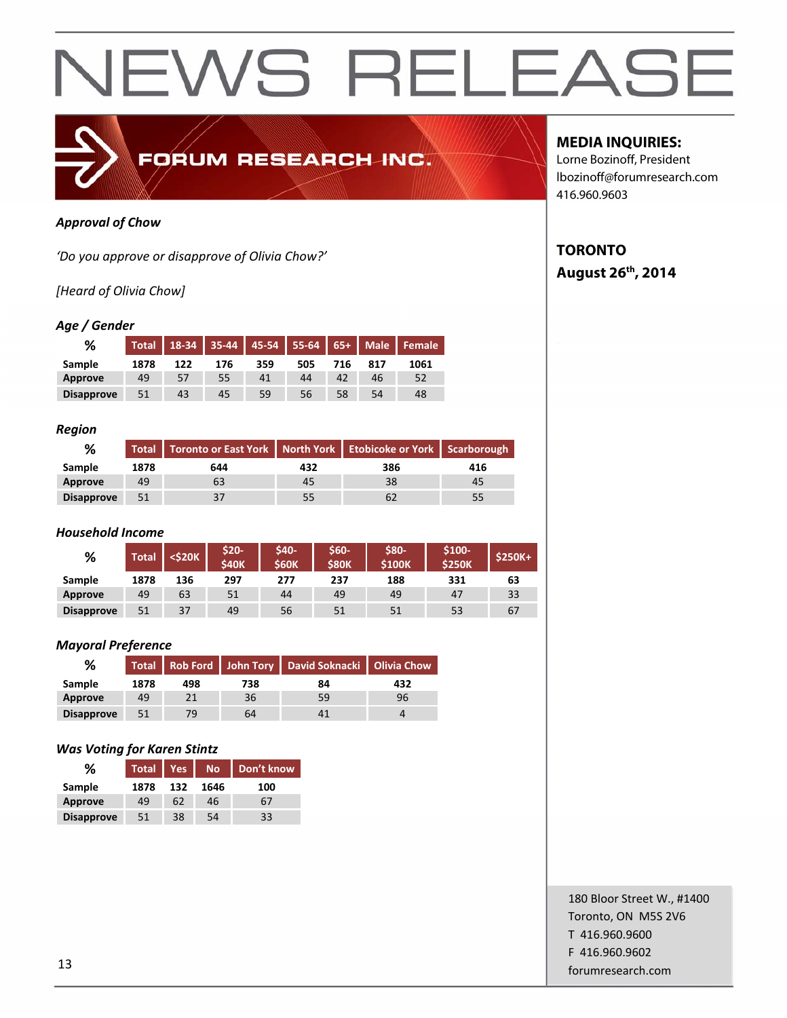

#### *Approval of Chow*

*'Do you approve or disapprove of Olivia Chow?'*

#### *[Heard of Olivia Chow]*

#### *Age / Gender*

| %                 | <b>Total</b> | 18-34 |     |     |     |     |     | 35-44 45-54 55-64 65+ Male Female |
|-------------------|--------------|-------|-----|-----|-----|-----|-----|-----------------------------------|
| Sample            | 1878         | 122   | 176 | 359 | 505 | 716 | 817 | 1061                              |
| <b>Approve</b>    | 49           | 57    | 55  | 41  | 44  | 42  | 46  | 52                                |
| <b>Disapprove</b> | 51           | 43    | 45  | 59  | 56  | 58  | 54  | 48                                |

#### *Region*

| ℅                 |      | Total   Toronto or East York   North York   Etobicoke or York   Scarborough |     |     |     |
|-------------------|------|-----------------------------------------------------------------------------|-----|-----|-----|
| Sample            | 1878 | 644                                                                         | 432 | 386 | 416 |
| Approve           | 49   | b3                                                                          | 45  | 38  | 45  |
| <b>Disapprove</b> | 51   | 37                                                                          | 55  |     |     |

#### *Household Income*

| %                 | Total | <\$20K | \$20-<br><b>S40K</b> | \$40-<br><b>S60K</b> | \$60-<br><b>S80K</b> | \$80-<br><b>\$100K</b> | \$100-<br><b>\$250K</b> | <b>\$250K+</b> |
|-------------------|-------|--------|----------------------|----------------------|----------------------|------------------------|-------------------------|----------------|
| Sample            | 1878  | 136    | 297                  | 277                  | 237                  | 188                    | 331                     | 63             |
| Approve           | 49    | 63     | 51                   | 44                   | 49                   | 49                     | 47                      | 33             |
| <b>Disapprove</b> | 51    | 37     | 49                   | 56                   | 51                   | 51                     | 53                      | 67             |

#### *Mayoral Preference*

| %                 |      |     |     | Total Rob Ford John Tory David Soknacki Olivia Chow |     |
|-------------------|------|-----|-----|-----------------------------------------------------|-----|
| Sample            | 1878 | 498 | 738 | 84                                                  | 432 |
| Approve           | 49   |     | 36  | 59                                                  | 96  |
| <b>Disapprove</b> | 51   | 79  | 64  |                                                     |     |

#### *Was Voting for Karen Stintz*

| %                 | <b>Total</b> | Yes | <b>No</b> | Don't know |
|-------------------|--------------|-----|-----------|------------|
| Sample            | 1878         | 132 | 1646      | 100        |
| <b>Approve</b>    | 49           | 62  | 46        | 67         |
| <b>Disapprove</b> | 51           | 38  | 54        | 33         |

#### **MEDIA INQUIRIES:**

Lorne Bozinoff, President lbozinoff@forumresearch.com 416.960.9603

#### **TORONTO August 26th, 2014**

180 Bloor Street W., #1400 Toronto, ON M5S 2V6 T 416.960.9600 F 416.960.9602 forumresearch.com and the set of the set of the set of the set of the set of the set of the set of the set of the set of the set of the set of the set of the set of the set of the set of the set of the set of the set of th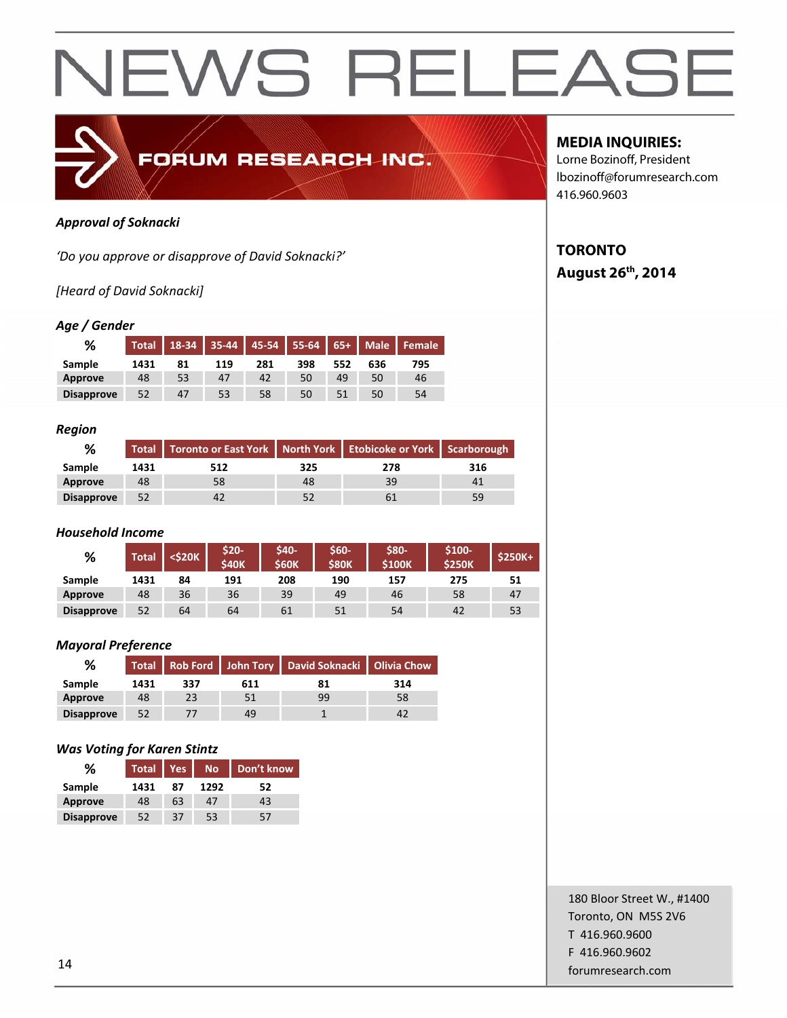

#### *Approval of Soknacki*

*'Do you approve or disapprove of David Soknacki?'*

*[Heard of David Soknacki]*

#### *Age / Gender*

| %                 | <b>Total</b> | 18-34 |     |     | 35-44   45-54   55-64   65+   Male |     |     | Female |
|-------------------|--------------|-------|-----|-----|------------------------------------|-----|-----|--------|
| Sample            | 1431         | 81    | 119 | 281 | 398                                | 552 | 636 | 795    |
| Approve           | 48           | 53    | 47  | 42  | 50                                 | 49  | 50  | 46     |
| <b>Disapprove</b> | 52           | 47    | 53  | 58  | 50                                 |     | 50  | 54     |

#### *Region*

| ℅                 |      | Total Toronto or East York   North York   Etobicoke or York   Scarborough |     |     |     |
|-------------------|------|---------------------------------------------------------------------------|-----|-----|-----|
| Sample            | 1431 | 512                                                                       | 325 | 278 | 316 |
| Approve           | 48   | 58                                                                        | 48  | 39  | 41  |
| <b>Disapprove</b> | 52   | 42                                                                        | 52  |     | 59  |

#### *Household Income*

| %                 | Total | <\$20K | \$20-<br><b>S40K</b> | \$40-<br><b>S60K</b> | \$60-<br><b>S80K</b> | \$80-<br><b>S100K</b> | $$100-$<br><b>\$250K</b> | <b>\$250K+</b> |
|-------------------|-------|--------|----------------------|----------------------|----------------------|-----------------------|--------------------------|----------------|
| Sample            | 1431  | 84     | 191                  | 208                  | 190                  | 157                   | 275                      | 51             |
| Approve           | 48    | 36     | 36                   | 39                   | 49                   | 46                    | 58                       | 47             |
| <b>Disapprove</b> | 52    | 64     | 64                   | 61                   | 51                   | 54                    | 42                       | 53             |

#### *Mayoral Preference*

| %                 |      |     |     | Total Rob Ford John Tory David Soknacki Olivia Chow |     |
|-------------------|------|-----|-----|-----------------------------------------------------|-----|
| Sample            | 1431 | 337 | 611 | 81                                                  | 314 |
| Approve           | 48   | 23  | 51  | 99                                                  | 58  |
| <b>Disapprove</b> | 52   |     | 49  |                                                     |     |

#### *Was Voting for Karen Stintz*

| %                 | <b>Total</b> | <b>Yes</b> | No.  | Don't know |
|-------------------|--------------|------------|------|------------|
| Sample            | 1431         | 87         | 1292 | 52         |
| <b>Approve</b>    | 48           | 63         | 47   | 43         |
| <b>Disapprove</b> | 52           | 37         | 53   | 57         |

#### **MEDIA INQUIRIES:**

Lorne Bozinoff, President lbozinoff@forumresearch.com 416.960.9603

#### **TORONTO August 26th, 2014**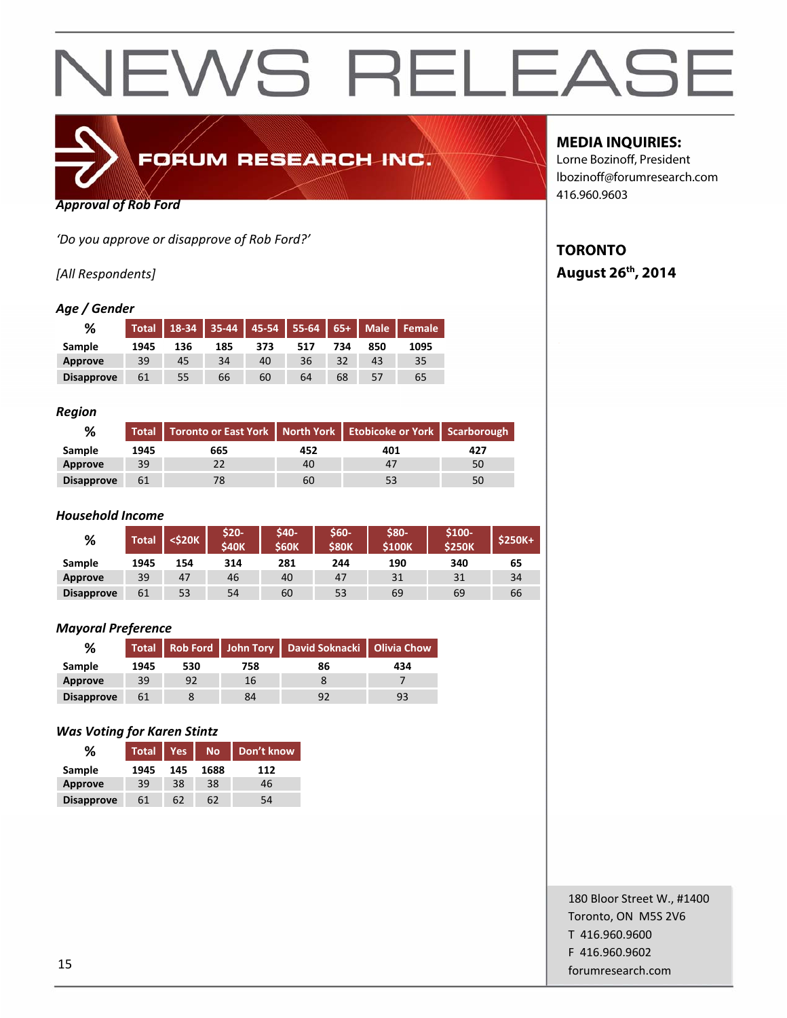

*Approval of Rob Ford*

*'Do you approve or disapprove of Rob Ford?'*

#### *[All Respondents]*

#### *Age / Gender*

| %                 | <b>Total</b> | $18-34$ |     | 35-44 45-54 55-64 65+ Male |     |     |     | Female |
|-------------------|--------------|---------|-----|----------------------------|-----|-----|-----|--------|
| <b>Sample</b>     | 1945         | 136     | 185 | 373                        | 517 | 734 | 850 | 1095   |
| Approve           | 39           | 45      | 34  | 40                         | 36  | 32  | 43  | 35     |
| <b>Disapprove</b> | 61           | 55      | 66  | 60                         | 64  | 68  | 57  | 65     |

#### *Region*

| %                 |      | Total Toronto or East York   North York   Etobicoke or York   Scarborough |     |     |     |  |
|-------------------|------|---------------------------------------------------------------------------|-----|-----|-----|--|
| Sample            | 1945 | 665                                                                       | 452 | 401 | 427 |  |
| Approve           | 39   |                                                                           | 40  | 47  | 50  |  |
| <b>Disapprove</b> | 61   | 78                                                                        | 60  | 53  | 50  |  |

#### *Household Income*

| %                 | Total | <\$20K | \$20-<br><b>S40K</b> | <b>S40-</b><br><b>S60K</b> | \$60-<br><b>S80K</b> | \$80-<br><b>\$100K</b> | $$100-$<br>\$250K | <b>\$250K+</b> |
|-------------------|-------|--------|----------------------|----------------------------|----------------------|------------------------|-------------------|----------------|
| Sample            | 1945  | 154    | 314                  | 281                        | 244                  | 190                    | 340               | 65             |
| Approve           | 39    | 47     | 46                   | 40                         | 47                   | 31                     | 31                | 34             |
| <b>Disapprove</b> | 61    | 53     | 54                   | 60                         | 53                   | 69                     | 69                | 66             |

#### *Mayoral Preference*

| ℅                 |      |     |     | Total Rob Ford   John Tory   David Soknacki   Olivia Chow |     |
|-------------------|------|-----|-----|-----------------------------------------------------------|-----|
| Sample            | 1945 | 530 | 758 | 86                                                        | 434 |
| Approve           | 39   | 92  | 16  |                                                           |     |
| <b>Disapprove</b> | 61   |     | 84  |                                                           | 93  |

#### *Was Voting for Karen Stintz*

| %                 | <b>Total</b> | <b>Yes</b> | <b>No</b> | Don't know |
|-------------------|--------------|------------|-----------|------------|
| Sample            | 1945         | 145        | 1688      | 112        |
| <b>Approve</b>    | 39           | 38         | 38        | 46         |
| <b>Disapprove</b> | 61           | 62         | 62        | 54         |

#### **MEDIA INQUIRIES:**

Lorne Bozinoff, President lbozinoff@forumresearch.com 416.960.9603

#### **TORONTO August 26th, 2014**

180 Bloor Street W., #1400 Toronto, ON M5S 2V6 T 416.960.9600 F 416.960.9602 for the contract of the contract of the contract of the contract of the contract of the contract of the contract of the contract of the contract of the contract of the contract of the contract of the contract of the contra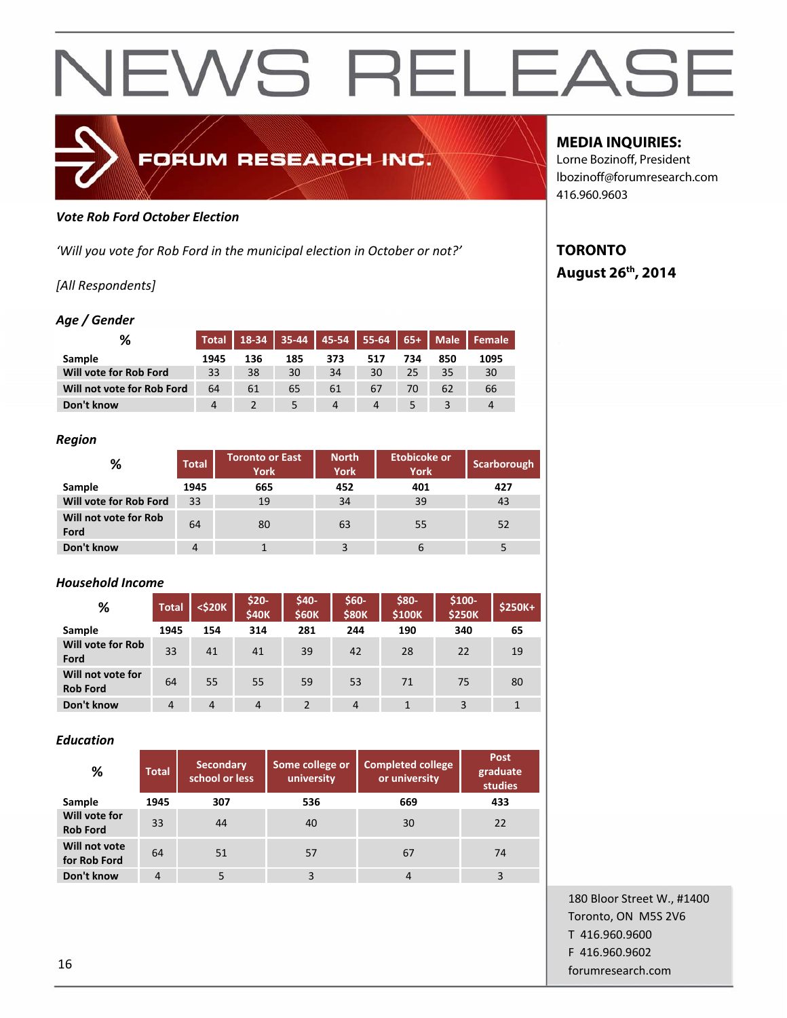

#### *Vote Rob Ford October Election*

*'Will you vote for Rob Ford in the municipal election in October or not?'*

FORUM RESEARCH INC.

#### *[All Respondents]*

#### *Age / Gender*

| %                          | <b>Total</b> |     |     |     | 18-34 35-44 45-54 55-64 65+ Male |     |     | Female |
|----------------------------|--------------|-----|-----|-----|----------------------------------|-----|-----|--------|
| Sample                     | 1945         | 136 | 185 | 373 | 517                              | 734 | 850 | 1095   |
| Will vote for Rob Ford     | 33           | 38  | 30  | 34  | 30                               | 25  | 35  | 30     |
| Will not vote for Rob Ford | 64           | 61  | 65  | 61  | 67                               | 70  | 62  | 66     |
| Don't know                 |              |     |     | 4   | 4                                |     |     | 4      |

#### *Region*

| %                             | <b>Total</b>   | <b>Toronto or East</b><br><b>York</b> | <b>North</b><br><b>York</b> | <b>Etobicoke or</b><br><b>York</b> | <b>Scarborough</b> |
|-------------------------------|----------------|---------------------------------------|-----------------------------|------------------------------------|--------------------|
| Sample                        | 1945           | 665                                   | 452                         | 401                                | 427                |
| Will vote for Rob Ford        | 33             | 19                                    | 34                          | 39                                 | 43                 |
| Will not vote for Rob<br>Ford | 64             | 80                                    | 63                          | 55                                 | 52                 |
| Don't know                    | $\overline{4}$ |                                       |                             | $\mathfrak b$                      |                    |

#### *Household Income*

| %                                    | <b>Total</b>   | <\$20K | $$20-$<br><b>\$40K</b> | \$40-<br><b>S60K</b> | $$60-$<br><b>\$80K</b> | \$80-<br>\$100K | $$100-$<br><b>\$250K</b> | \$250K+ |
|--------------------------------------|----------------|--------|------------------------|----------------------|------------------------|-----------------|--------------------------|---------|
| Sample                               | 1945           | 154    | 314                    | 281                  | 244                    | 190             | 340                      | 65      |
| <b>Will vote for Rob</b><br>Ford     | 33             | 41     | 41                     | 39                   | 42                     | 28              | 22                       | 19      |
| Will not vote for<br><b>Rob Ford</b> | 64             | 55     | 55                     | 59                   | 53                     | 71              | 75                       | 80      |
| Don't know                           | $\overline{4}$ | 4      | $\overline{4}$         | $\overline{2}$       | $\overline{4}$         |                 | 3                        |         |

#### *Education*

| %                                | <b>Total</b>   | <b>Secondary</b><br>school or less | Some college or<br>university | <b>Completed college</b><br>or university | Post<br>graduate<br>studies |
|----------------------------------|----------------|------------------------------------|-------------------------------|-------------------------------------------|-----------------------------|
| Sample                           | 1945           | 307                                | 536                           | 669                                       | 433                         |
| Will vote for<br><b>Rob Ford</b> | 33             | 44                                 | 40                            | 30                                        | 22                          |
| Will not vote<br>for Rob Ford    | 64             | 51                                 | 57                            | 67                                        | 74                          |
| Don't know                       | $\overline{4}$ |                                    | 3                             | 4                                         | 3                           |

### **MEDIA INQUIRIES:**

Lorne Bozinoff, President lbozinoff@forumresearch.com 416.960.9603

### **TORONTO August 26th, 2014**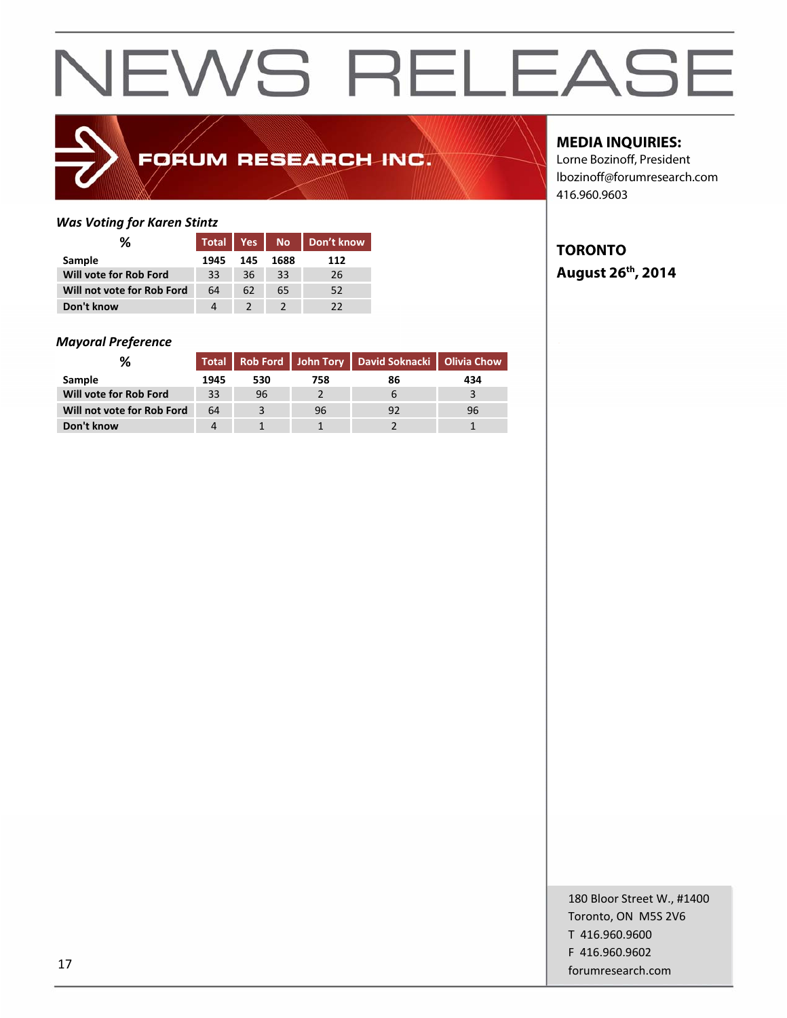### FORUM RESEARCH INC.

#### *Was Voting for Karen Stintz*

| ℅                          | <b>Total</b> | Yes | No No | Don't know |
|----------------------------|--------------|-----|-------|------------|
| Sample                     | 1945         | 145 | 1688  | 112        |
| Will vote for Rob Ford     | 33           | 36  | 33    | 26         |
| Will not vote for Rob Ford | 64           | 62  | 65    | 52         |
| Don't know                 | Δ            |     |       | つつ         |

#### *Mayoral Preference*

|                            |      |     |     | Total Rob Ford John Tory David Soknacki Olivia Chow |     |
|----------------------------|------|-----|-----|-----------------------------------------------------|-----|
| <b>Sample</b>              | 1945 | 530 | 758 | 86                                                  | 434 |
| Will vote for Rob Ford     | 33   | 96  |     |                                                     |     |
| Will not vote for Rob Ford | 64   |     | 96  |                                                     | 96  |
| Don't know                 |      |     |     |                                                     |     |

#### **MEDIA INQUIRIES:**

Lorne Bozinoff, President lbozinoff@forumresearch.com 416.960.9603

#### **TORONTO August 26th, 2014**

180 Bloor Street W., #1400 Toronto, ON M5S 2V6 T 416.960.9600 F 416.960.9602 for the contract of the contract of the contract of the contract of the contract of the contract of the contract of the contract of the contract of the contract of the contract of the contract of the contract of the contra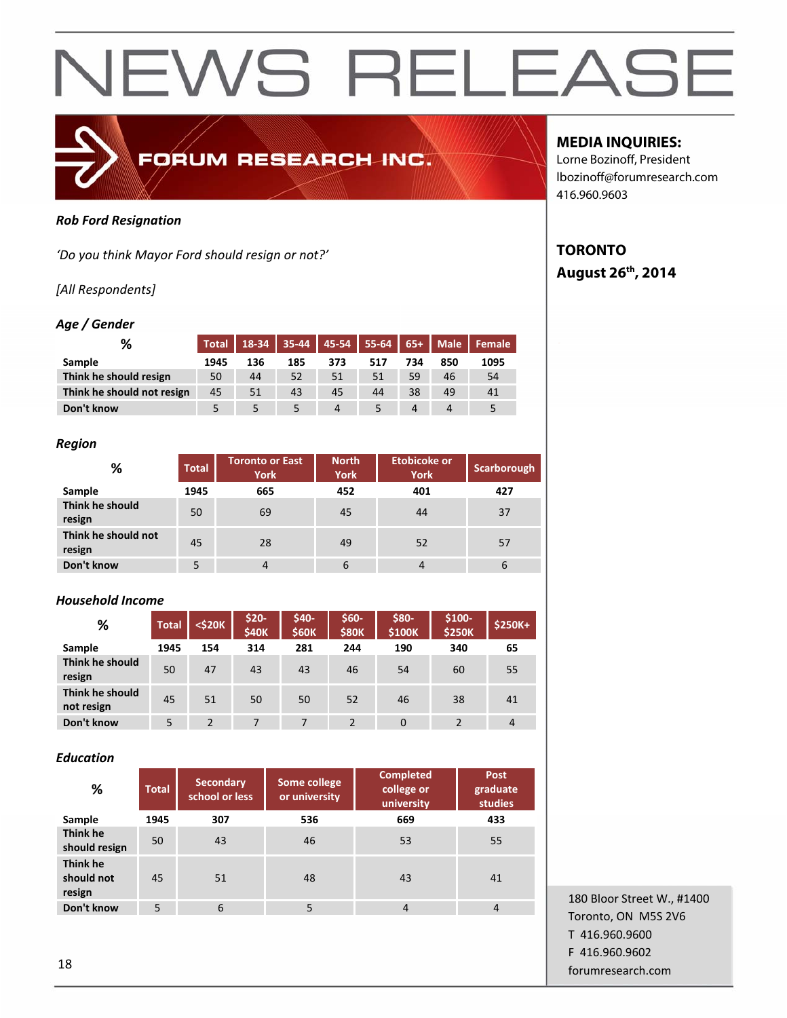#### *Rob Ford Resignation*

*'Do you think Mayor Ford should resign or not?'*

#### *[All Respondents]*

#### *Age / Gender*

| ℅                          |      |     |     |     | Total   18-34   35-44   45-54   55-64   65+   Male |     |     | l Female |
|----------------------------|------|-----|-----|-----|----------------------------------------------------|-----|-----|----------|
| Sample                     | 1945 | 136 | 185 | 373 | 517                                                | 734 | 850 | 1095     |
| Think he should resign     | 50   | 44  | 52  | 51  | 51                                                 | 59  | 46  | 54       |
| Think he should not resign | 45   | 51  | 43  | 45  | 44                                                 | 38  | 49  | 41       |
| Don't know                 |      |     |     | 4   |                                                    | 4   |     |          |

FORUM RESEARCH INC.

#### *Region*

| %                             | <b>Total</b> | Toronto or East<br><b>York</b> | <b>North</b><br><b>York</b> | <b>Etobicoke or</b><br><b>York</b> | Scarborough |
|-------------------------------|--------------|--------------------------------|-----------------------------|------------------------------------|-------------|
| Sample                        | 1945         | 665                            | 452                         | 401                                | 427         |
| Think he should<br>resign     | 50           | 69                             | 45                          | 44                                 | 37          |
| Think he should not<br>resign | 45           | 28                             | 49                          | 52                                 | 57          |
| Don't know                    | 5            | $\overline{4}$                 | 6                           | $\overline{4}$                     | 6           |

#### *Household Income*

| %                             | <b>Total</b> | $<$ \$20 $K$   | $$20-$<br><b>\$40K</b> | \$40-<br><b>\$60K</b> | \$60-<br><b>\$80K</b> | \$80-<br>\$100K | $$100-$<br><b>\$250K</b> | $$250K+$ |
|-------------------------------|--------------|----------------|------------------------|-----------------------|-----------------------|-----------------|--------------------------|----------|
| Sample                        | 1945         | 154            | 314                    | 281                   | 244                   | 190             | 340                      | 65       |
| Think he should<br>resign     | 50           | 47             | 43                     | 43                    | 46                    | 54              | 60                       | 55       |
| Think he should<br>not resign | 45           | 51             | 50                     | 50                    | 52                    | 46              | 38                       | 41       |
| Don't know                    | 5            | $\mathfrak{p}$ |                        | 7                     | $\mathcal{P}$         | $\Omega$        | 2                        | 4        |

#### *Education*

| %                                | <b>Total</b> | <b>Secondary</b><br>school or less | <b>Some college</b><br>or university | <b>Completed</b><br>college or<br>university | Post<br>graduate<br>studies |
|----------------------------------|--------------|------------------------------------|--------------------------------------|----------------------------------------------|-----------------------------|
| Sample                           | 1945         | 307                                | 536                                  | 669                                          | 433                         |
| Think he<br>should resign        | 50           | 43                                 | 46                                   | 53                                           | 55                          |
| Think he<br>should not<br>resign | 45           | 51                                 | 48                                   | 43                                           | 41                          |
| Don't know                       | 5            | 6                                  | 5                                    | $\overline{4}$                               | $\overline{4}$              |

180 Bloor Street W., #1400 Toronto, ON M5S 2V6 T 416.960.9600 F 416.960.9602 **forumresearch.com** and the set of the set of the set of the set of the set of the set of the set of the set of the set of the set of the set of the set of the set of the set of the set of the set of the set of the set of

#### **MEDIA INQUIRIES:**

Lorne Bozinoff, President lbozinoff@forumresearch.com 416.960.9603

#### **TORONTO August 26th, 2014**